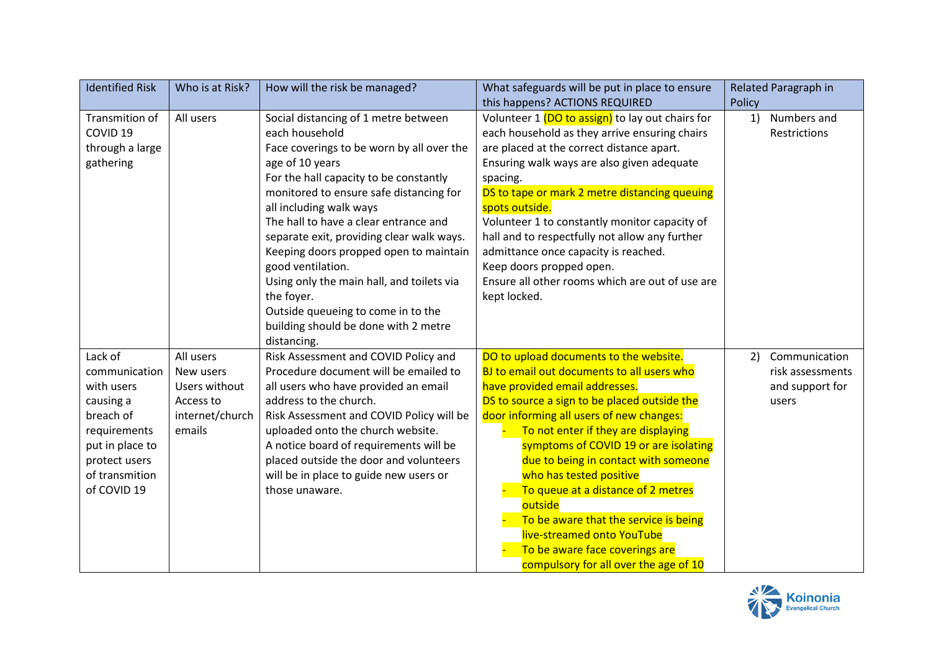| <b>Identified Risk</b> | Who is at Risk? | How will the risk be managed?             | What safeguards will be put in place to ensure   | Related Paragraph in |
|------------------------|-----------------|-------------------------------------------|--------------------------------------------------|----------------------|
|                        |                 |                                           | this happens? ACTIONS REQUIRED                   | Policy               |
| Transmition of         | All users       | Social distancing of 1 metre between      | Volunteer 1 (DO to assign) to lay out chairs for | Numbers and<br>1)    |
| COVID <sub>19</sub>    |                 | each household                            | each household as they arrive ensuring chairs    | Restrictions         |
| through a large        |                 | Face coverings to be worn by all over the | are placed at the correct distance apart.        |                      |
| gathering              |                 | age of 10 years                           | Ensuring walk ways are also given adequate       |                      |
|                        |                 | For the hall capacity to be constantly    | spacing.                                         |                      |
|                        |                 | monitored to ensure safe distancing for   | DS to tape or mark 2 metre distancing queuing    |                      |
|                        |                 | all including walk ways                   | spots outside.                                   |                      |
|                        |                 | The hall to have a clear entrance and     | Volunteer 1 to constantly monitor capacity of    |                      |
|                        |                 | separate exit, providing clear walk ways. | hall and to respectfully not allow any further   |                      |
|                        |                 | Keeping doors propped open to maintain    | admittance once capacity is reached.             |                      |
|                        |                 | good ventilation.                         | Keep doors propped open.                         |                      |
|                        |                 | Using only the main hall, and toilets via | Ensure all other rooms which are out of use are  |                      |
|                        |                 | the foyer.                                | kept locked.                                     |                      |
|                        |                 | Outside queueing to come in to the        |                                                  |                      |
|                        |                 | building should be done with 2 metre      |                                                  |                      |
|                        |                 | distancing.                               |                                                  |                      |
| Lack of                | All users       | Risk Assessment and COVID Policy and      | DO to upload documents to the website.           | Communication<br>2)  |
| communication          | New users       | Procedure document will be emailed to     | BJ to email out documents to all users who       | risk assessments     |
| with users             | Users without   | all users who have provided an email      | have provided email addresses.                   | and support for      |
| causing a              | Access to       | address to the church.                    | DS to source a sign to be placed outside the     | users                |
| breach of              | internet/church | Risk Assessment and COVID Policy will be  | door informing all users of new changes:         |                      |
| requirements           | emails          | uploaded onto the church website.         | To not enter if they are displaying              |                      |
| put in place to        |                 | A notice board of requirements will be    | symptoms of COVID 19 or are isolating            |                      |
| protect users          |                 | placed outside the door and volunteers    | due to being in contact with someone             |                      |
| of transmition         |                 | will be in place to guide new users or    | who has tested positive                          |                      |
| of COVID 19            |                 | those unaware.                            | To queue at a distance of 2 metres               |                      |
|                        |                 |                                           | outside                                          |                      |
|                        |                 |                                           | To be aware that the service is being            |                      |
|                        |                 |                                           | live-streamed onto YouTube                       |                      |
|                        |                 |                                           | To be aware face coverings are                   |                      |
|                        |                 |                                           | compulsory for all over the age of 10            |                      |

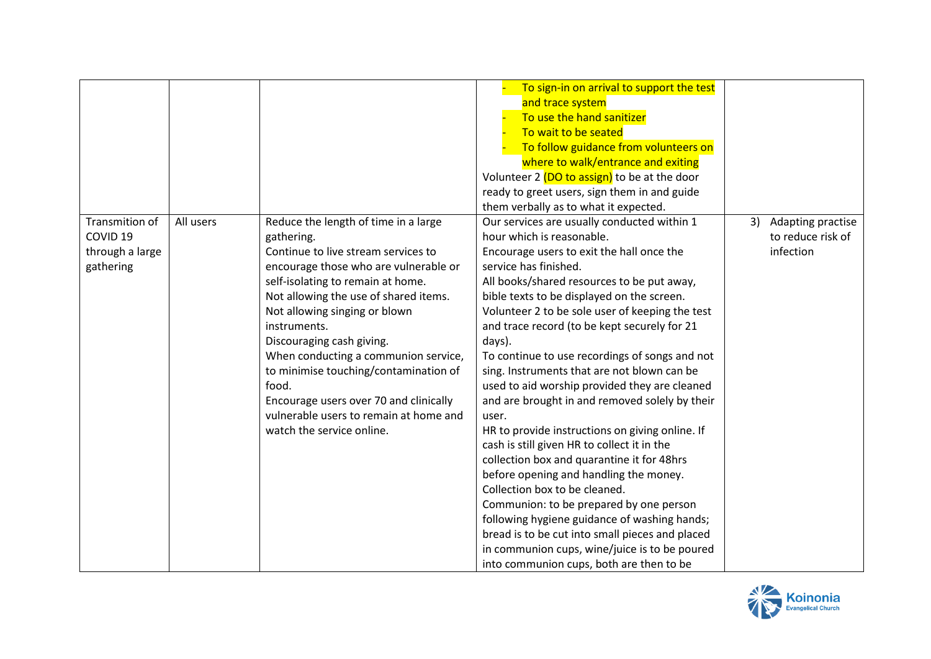|                                       |           |                                                                              | To sign-in on arrival to support the test<br>and trace system<br>To use the hand sanitizer<br>To wait to be seated<br>To follow guidance from volunteers on<br>where to walk/entrance and exiting<br>Volunteer 2 (DO to assign) to be at the door<br>ready to greet users, sign them in and guide<br>them verbally as to what it expected. |    |                                        |
|---------------------------------------|-----------|------------------------------------------------------------------------------|--------------------------------------------------------------------------------------------------------------------------------------------------------------------------------------------------------------------------------------------------------------------------------------------------------------------------------------------|----|----------------------------------------|
| Transmition of<br>COVID <sub>19</sub> | All users | Reduce the length of time in a large<br>gathering.                           | Our services are usually conducted within 1<br>hour which is reasonable.                                                                                                                                                                                                                                                                   | 3) | Adapting practise<br>to reduce risk of |
| through a large<br>gathering          |           | Continue to live stream services to<br>encourage those who are vulnerable or | Encourage users to exit the hall once the<br>service has finished.                                                                                                                                                                                                                                                                         |    | infection                              |
|                                       |           | self-isolating to remain at home.                                            | All books/shared resources to be put away,                                                                                                                                                                                                                                                                                                 |    |                                        |
|                                       |           | Not allowing the use of shared items.                                        | bible texts to be displayed on the screen.                                                                                                                                                                                                                                                                                                 |    |                                        |
|                                       |           | Not allowing singing or blown                                                | Volunteer 2 to be sole user of keeping the test                                                                                                                                                                                                                                                                                            |    |                                        |
|                                       |           | instruments.                                                                 | and trace record (to be kept securely for 21                                                                                                                                                                                                                                                                                               |    |                                        |
|                                       |           | Discouraging cash giving.                                                    | days).                                                                                                                                                                                                                                                                                                                                     |    |                                        |
|                                       |           | When conducting a communion service,                                         | To continue to use recordings of songs and not                                                                                                                                                                                                                                                                                             |    |                                        |
|                                       |           | to minimise touching/contamination of                                        | sing. Instruments that are not blown can be                                                                                                                                                                                                                                                                                                |    |                                        |
|                                       |           | food.                                                                        | used to aid worship provided they are cleaned                                                                                                                                                                                                                                                                                              |    |                                        |
|                                       |           | Encourage users over 70 and clinically                                       | and are brought in and removed solely by their                                                                                                                                                                                                                                                                                             |    |                                        |
|                                       |           | vulnerable users to remain at home and                                       | user.                                                                                                                                                                                                                                                                                                                                      |    |                                        |
|                                       |           | watch the service online.                                                    | HR to provide instructions on giving online. If                                                                                                                                                                                                                                                                                            |    |                                        |
|                                       |           |                                                                              | cash is still given HR to collect it in the                                                                                                                                                                                                                                                                                                |    |                                        |
|                                       |           |                                                                              | collection box and quarantine it for 48hrs                                                                                                                                                                                                                                                                                                 |    |                                        |
|                                       |           |                                                                              | before opening and handling the money.                                                                                                                                                                                                                                                                                                     |    |                                        |
|                                       |           |                                                                              | Collection box to be cleaned.                                                                                                                                                                                                                                                                                                              |    |                                        |
|                                       |           |                                                                              | Communion: to be prepared by one person                                                                                                                                                                                                                                                                                                    |    |                                        |
|                                       |           |                                                                              | following hygiene guidance of washing hands;                                                                                                                                                                                                                                                                                               |    |                                        |
|                                       |           |                                                                              | bread is to be cut into small pieces and placed                                                                                                                                                                                                                                                                                            |    |                                        |
|                                       |           |                                                                              | in communion cups, wine/juice is to be poured                                                                                                                                                                                                                                                                                              |    |                                        |
|                                       |           |                                                                              | into communion cups, both are then to be                                                                                                                                                                                                                                                                                                   |    |                                        |

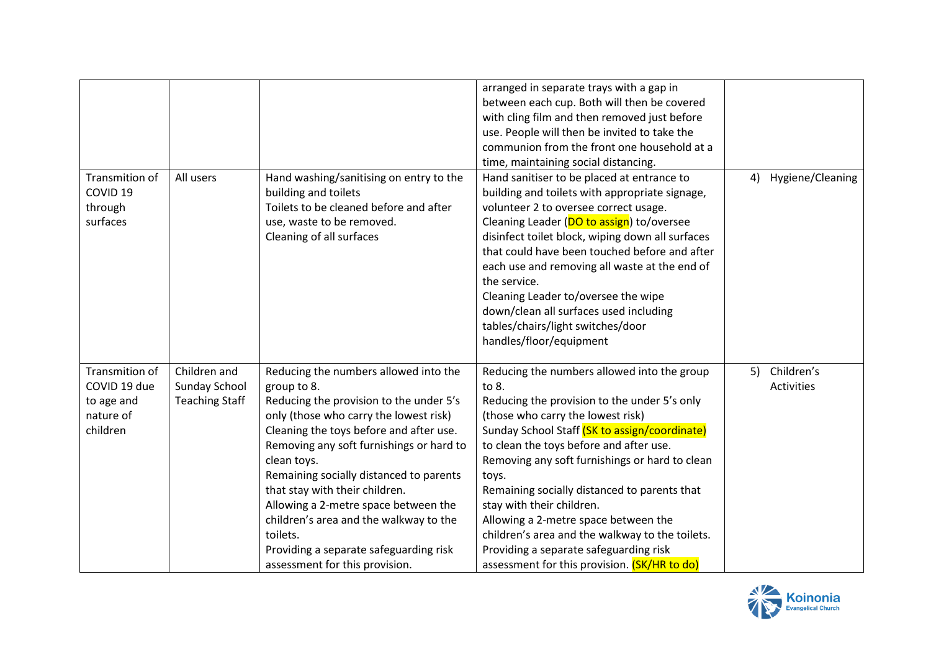| Transmition of<br>COVID <sub>19</sub>                                 | All users                                              | Hand washing/sanitising on entry to the<br>building and toilets                                                                                                                                                                                                                                                                                                                                                                                                                                        | arranged in separate trays with a gap in<br>between each cup. Both will then be covered<br>with cling film and then removed just before<br>use. People will then be invited to take the<br>communion from the front one household at a<br>time, maintaining social distancing.<br>Hand sanitiser to be placed at entrance to<br>building and toilets with appropriate signage,                                                                                                                                                                                     | Hygiene/Cleaning<br>4)                |
|-----------------------------------------------------------------------|--------------------------------------------------------|--------------------------------------------------------------------------------------------------------------------------------------------------------------------------------------------------------------------------------------------------------------------------------------------------------------------------------------------------------------------------------------------------------------------------------------------------------------------------------------------------------|--------------------------------------------------------------------------------------------------------------------------------------------------------------------------------------------------------------------------------------------------------------------------------------------------------------------------------------------------------------------------------------------------------------------------------------------------------------------------------------------------------------------------------------------------------------------|---------------------------------------|
| through<br>surfaces                                                   |                                                        | Toilets to be cleaned before and after<br>use, waste to be removed.<br>Cleaning of all surfaces                                                                                                                                                                                                                                                                                                                                                                                                        | volunteer 2 to oversee correct usage.<br>Cleaning Leader (DO to assign) to/oversee<br>disinfect toilet block, wiping down all surfaces<br>that could have been touched before and after<br>each use and removing all waste at the end of<br>the service.<br>Cleaning Leader to/oversee the wipe<br>down/clean all surfaces used including<br>tables/chairs/light switches/door<br>handles/floor/equipment                                                                                                                                                          |                                       |
| Transmition of<br>COVID 19 due<br>to age and<br>nature of<br>children | Children and<br>Sunday School<br><b>Teaching Staff</b> | Reducing the numbers allowed into the<br>group to 8.<br>Reducing the provision to the under 5's<br>only (those who carry the lowest risk)<br>Cleaning the toys before and after use.<br>Removing any soft furnishings or hard to<br>clean toys.<br>Remaining socially distanced to parents<br>that stay with their children.<br>Allowing a 2-metre space between the<br>children's area and the walkway to the<br>toilets.<br>Providing a separate safeguarding risk<br>assessment for this provision. | Reducing the numbers allowed into the group<br>to 8.<br>Reducing the provision to the under 5's only<br>(those who carry the lowest risk)<br>Sunday School Staff (SK to assign/coordinate)<br>to clean the toys before and after use.<br>Removing any soft furnishings or hard to clean<br>toys.<br>Remaining socially distanced to parents that<br>stay with their children.<br>Allowing a 2-metre space between the<br>children's area and the walkway to the toilets.<br>Providing a separate safeguarding risk<br>assessment for this provision. (SK/HR to do) | Children's<br>5)<br><b>Activities</b> |